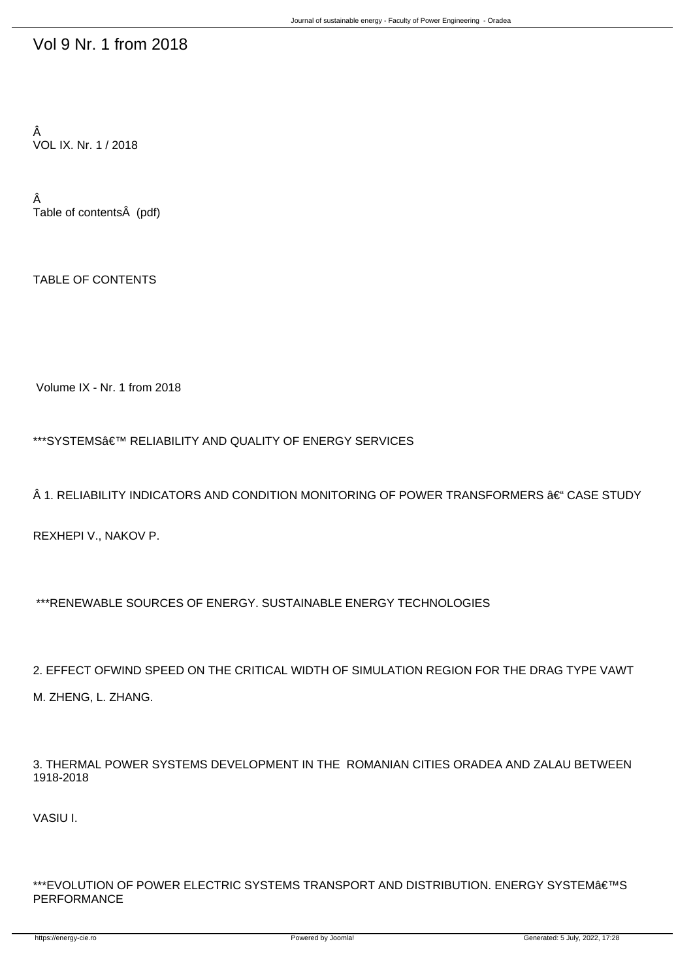## Vol 9 Nr. 1 from 2018

Â VOL IX. Nr. 1 / 2018

Â Table of contents (pdf)

TABLE OF CONTENTS

Volume IX - Nr. 1 from 2018

\*\*\*SYSTEMS候 RELIABILITY AND QUALITY OF ENERGY SERVICES

 $\hat{A}$  1. RELIABILITY INDICATORS AND CONDITION MONITORING OF POWER TRANSFORMERS  $\hat{a}\bm{\epsilon}^{\mu}$  CASE STUDY

REXHEPI V., NAKOV P.

\*\*\*RENEWABLE SOURCES OF ENERGY. SUSTAINABLE ENERGY TECHNOLOGIES

2. EFFECT OFWIND SPEED ON THE CRITICAL WIDTH OF SIMULATION REGION FOR THE DRAG TYPE VAWT M. ZHENG, L. ZHANG.

3. THERMAL POWER SYSTEMS DEVELOPMENT IN THE ROMANIAN CITIES ORADEA AND ZALAU BETWEEN 1918-2018

VASIU I.

\*\*\*EVOLUTION OF POWER ELECTRIC SYSTEMS TRANSPORT AND DISTRIBUTION. ENERGY SYSTEM€<sup>TM</sup>S PERFORMANCE